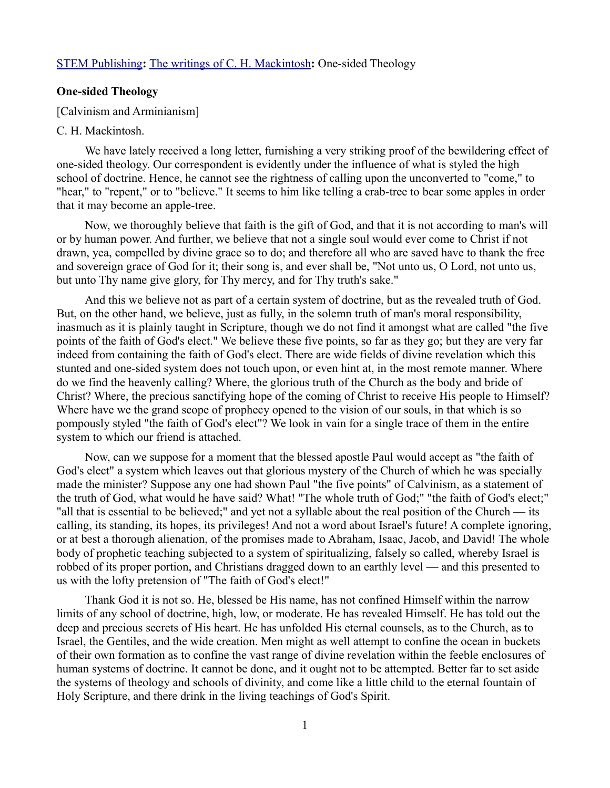## [STEM Publishing](http://www.stempublishing.com/)**:** [The writings of C. H. Mackintosh](http://www.stempublishing.com/authors/mackintosh/index.html)**:** One-sided Theology

## **One-sided Theology**

[Calvinism and Arminianism]

## C. H. Mackintosh.

We have lately received a long letter, furnishing a very striking proof of the bewildering effect of one-sided theology. Our correspondent is evidently under the influence of what is styled the high school of doctrine. Hence, he cannot see the rightness of calling upon the unconverted to "come," to "hear," to "repent," or to "believe." It seems to him like telling a crab-tree to bear some apples in order that it may become an apple-tree.

Now, we thoroughly believe that faith is the gift of God, and that it is not according to man's will or by human power. And further, we believe that not a single soul would ever come to Christ if not drawn, yea, compelled by divine grace so to do; and therefore all who are saved have to thank the free and sovereign grace of God for it; their song is, and ever shall be, "Not unto us, O Lord, not unto us, but unto Thy name give glory, for Thy mercy, and for Thy truth's sake."

And this we believe not as part of a certain system of doctrine, but as the revealed truth of God. But, on the other hand, we believe, just as fully, in the solemn truth of man's moral responsibility, inasmuch as it is plainly taught in Scripture, though we do not find it amongst what are called "the five points of the faith of God's elect." We believe these five points, so far as they go; but they are very far indeed from containing the faith of God's elect. There are wide fields of divine revelation which this stunted and one-sided system does not touch upon, or even hint at, in the most remote manner. Where do we find the heavenly calling? Where, the glorious truth of the Church as the body and bride of Christ? Where, the precious sanctifying hope of the coming of Christ to receive His people to Himself? Where have we the grand scope of prophecy opened to the vision of our souls, in that which is so pompously styled "the faith of God's elect"? We look in vain for a single trace of them in the entire system to which our friend is attached.

Now, can we suppose for a moment that the blessed apostle Paul would accept as "the faith of God's elect" a system which leaves out that glorious mystery of the Church of which he was specially made the minister? Suppose any one had shown Paul "the five points" of Calvinism, as a statement of the truth of God, what would he have said? What! "The whole truth of God;" "the faith of God's elect;" "all that is essential to be believed;" and yet not a syllable about the real position of the Church — its calling, its standing, its hopes, its privileges! And not a word about Israel's future! A complete ignoring, or at best a thorough alienation, of the promises made to Abraham, Isaac, Jacob, and David! The whole body of prophetic teaching subjected to a system of spiritualizing, falsely so called, whereby Israel is robbed of its proper portion, and Christians dragged down to an earthly level — and this presented to us with the lofty pretension of "The faith of God's elect!"

Thank God it is not so. He, blessed be His name, has not confined Himself within the narrow limits of any school of doctrine, high, low, or moderate. He has revealed Himself. He has told out the deep and precious secrets of His heart. He has unfolded His eternal counsels, as to the Church, as to Israel, the Gentiles, and the wide creation. Men might as well attempt to confine the ocean in buckets of their own formation as to confine the vast range of divine revelation within the feeble enclosures of human systems of doctrine. It cannot be done, and it ought not to be attempted. Better far to set aside the systems of theology and schools of divinity, and come like a little child to the eternal fountain of Holy Scripture, and there drink in the living teachings of God's Spirit.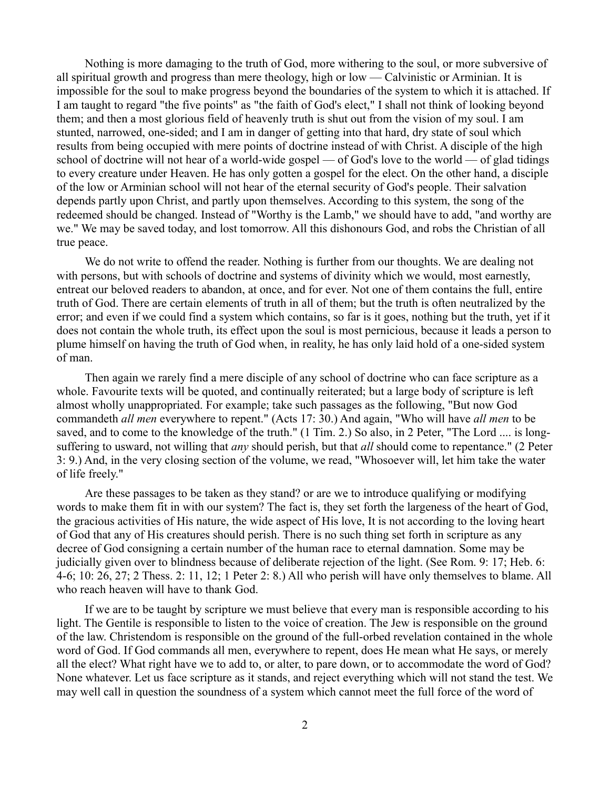Nothing is more damaging to the truth of God, more withering to the soul, or more subversive of all spiritual growth and progress than mere theology, high or low — Calvinistic or Arminian. It is impossible for the soul to make progress beyond the boundaries of the system to which it is attached. If I am taught to regard "the five points" as "the faith of God's elect," I shall not think of looking beyond them; and then a most glorious field of heavenly truth is shut out from the vision of my soul. I am stunted, narrowed, one-sided; and I am in danger of getting into that hard, dry state of soul which results from being occupied with mere points of doctrine instead of with Christ. A disciple of the high school of doctrine will not hear of a world-wide gospel — of God's love to the world — of glad tidings to every creature under Heaven. He has only gotten a gospel for the elect. On the other hand, a disciple of the low or Arminian school will not hear of the eternal security of God's people. Their salvation depends partly upon Christ, and partly upon themselves. According to this system, the song of the redeemed should be changed. Instead of "Worthy is the Lamb," we should have to add, "and worthy are we." We may be saved today, and lost tomorrow. All this dishonours God, and robs the Christian of all true peace.

We do not write to offend the reader. Nothing is further from our thoughts. We are dealing not with persons, but with schools of doctrine and systems of divinity which we would, most earnestly, entreat our beloved readers to abandon, at once, and for ever. Not one of them contains the full, entire truth of God. There are certain elements of truth in all of them; but the truth is often neutralized by the error; and even if we could find a system which contains, so far is it goes, nothing but the truth, yet if it does not contain the whole truth, its effect upon the soul is most pernicious, because it leads a person to plume himself on having the truth of God when, in reality, he has only laid hold of a one-sided system of man.

Then again we rarely find a mere disciple of any school of doctrine who can face scripture as a whole. Favourite texts will be quoted, and continually reiterated; but a large body of scripture is left almost wholly unappropriated. For example; take such passages as the following, "But now God commandeth *all men* everywhere to repent." (Acts 17: 30.) And again, "Who will have *all men* to be saved, and to come to the knowledge of the truth." (1 Tim. 2.) So also, in 2 Peter, "The Lord .... is longsuffering to usward, not willing that *any* should perish, but that *all* should come to repentance." (2 Peter 3: 9.) And, in the very closing section of the volume, we read, "Whosoever will, let him take the water of life freely."

Are these passages to be taken as they stand? or are we to introduce qualifying or modifying words to make them fit in with our system? The fact is, they set forth the largeness of the heart of God, the gracious activities of His nature, the wide aspect of His love, It is not according to the loving heart of God that any of His creatures should perish. There is no such thing set forth in scripture as any decree of God consigning a certain number of the human race to eternal damnation. Some may be judicially given over to blindness because of deliberate rejection of the light. (See Rom. 9: 17; Heb. 6: 4-6; 10: 26, 27; 2 Thess. 2: 11, 12; 1 Peter 2: 8.) All who perish will have only themselves to blame. All who reach heaven will have to thank God.

If we are to be taught by scripture we must believe that every man is responsible according to his light. The Gentile is responsible to listen to the voice of creation. The Jew is responsible on the ground of the law. Christendom is responsible on the ground of the full-orbed revelation contained in the whole word of God. If God commands all men, everywhere to repent, does He mean what He says, or merely all the elect? What right have we to add to, or alter, to pare down, or to accommodate the word of God? None whatever. Let us face scripture as it stands, and reject everything which will not stand the test. We may well call in question the soundness of a system which cannot meet the full force of the word of